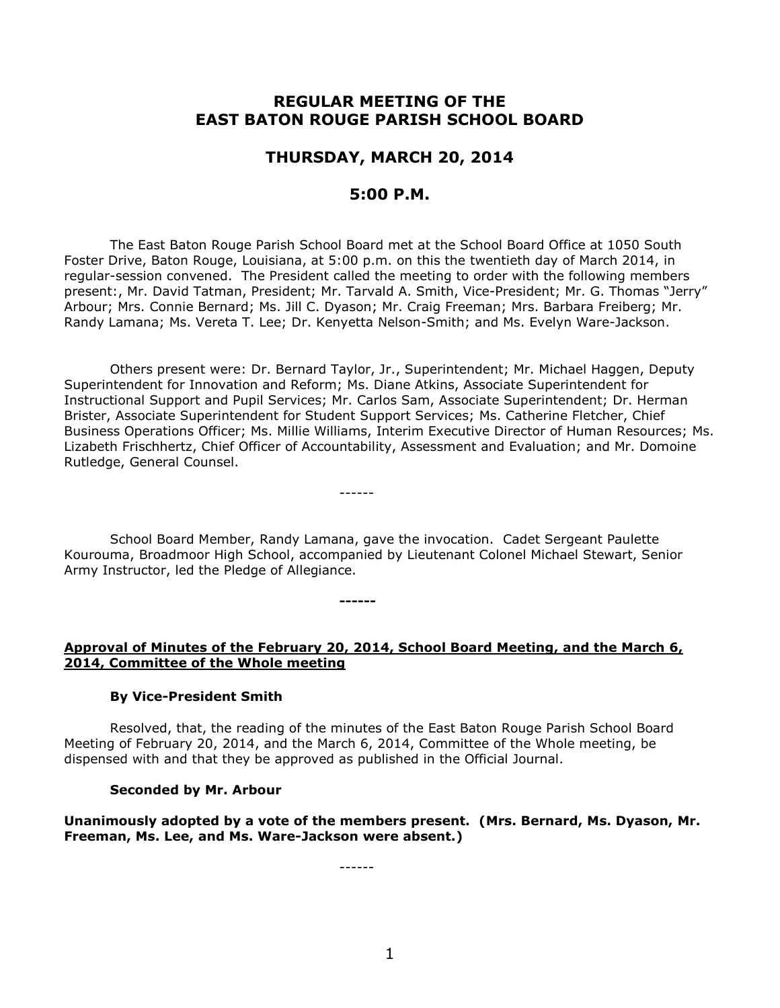# **REGULAR MEETING OF THE EAST BATON ROUGE PARISH SCHOOL BOARD**

# **THURSDAY, MARCH 20, 2014**

## **5:00 P.M.**

The East Baton Rouge Parish School Board met at the School Board Office at 1050 South Foster Drive, Baton Rouge, Louisiana, at 5:00 p.m. on this the twentieth day of March 2014, in regular-session convened. The President called the meeting to order with the following members present:, Mr. David Tatman, President; Mr. Tarvald A. Smith, Vice-President; Mr. G. Thomas "Jerry" Arbour; Mrs. Connie Bernard; Ms. Jill C. Dyason; Mr. Craig Freeman; Mrs. Barbara Freiberg; Mr. Randy Lamana; Ms. Vereta T. Lee; Dr. Kenyetta Nelson-Smith; and Ms. Evelyn Ware-Jackson.

Others present were: Dr. Bernard Taylor, Jr., Superintendent; Mr. Michael Haggen, Deputy Superintendent for Innovation and Reform; Ms. Diane Atkins, Associate Superintendent for Instructional Support and Pupil Services; Mr. Carlos Sam, Associate Superintendent; Dr. Herman Brister, Associate Superintendent for Student Support Services; Ms. Catherine Fletcher, Chief Business Operations Officer; Ms. Millie Williams, Interim Executive Director of Human Resources; Ms. Lizabeth Frischhertz, Chief Officer of Accountability, Assessment and Evaluation; and Mr. Domoine Rutledge, General Counsel.

School Board Member, Randy Lamana, gave the invocation. Cadet Sergeant Paulette Kourouma, Broadmoor High School, accompanied by Lieutenant Colonel Michael Stewart, Senior Army Instructor, led the Pledge of Allegiance.

------

**------**

**Approval of Minutes of the February 20, 2014, School Board Meeting, and the March 6, 2014, Committee of the Whole meeting**

#### **By Vice-President Smith**

Resolved, that, the reading of the minutes of the East Baton Rouge Parish School Board Meeting of February 20, 2014, and the March 6, 2014, Committee of the Whole meeting, be dispensed with and that they be approved as published in the Official Journal.

#### **Seconded by Mr. Arbour**

**Unanimously adopted by a vote of the members present. (Mrs. Bernard, Ms. Dyason, Mr. Freeman, Ms. Lee, and Ms. Ware-Jackson were absent.)**

------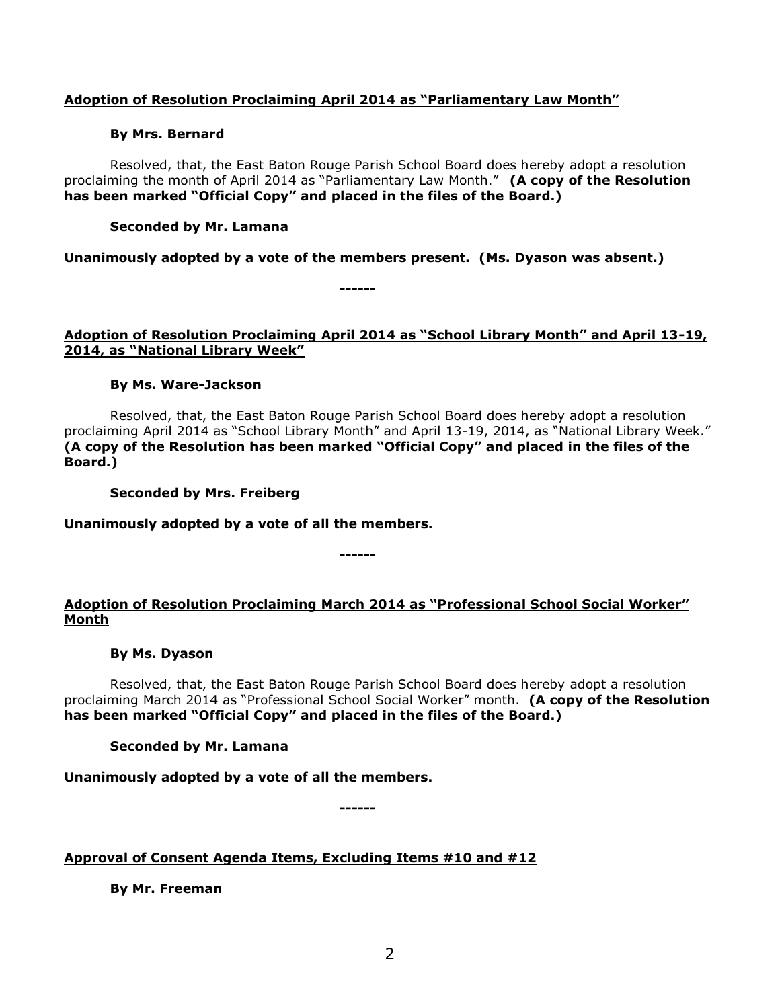### **Adoption of Resolution Proclaiming April 2014 as "Parliamentary Law Month"**

#### **By Mrs. Bernard**

Resolved, that, the East Baton Rouge Parish School Board does hereby adopt a resolution proclaiming the month of April 2014 as "Parliamentary Law Month." **(A copy of the Resolution has been marked "Official Copy" and placed in the files of the Board.)**

#### **Seconded by Mr. Lamana**

**Unanimously adopted by a vote of the members present. (Ms. Dyason was absent.)**

**------**

### **Adoption of Resolution Proclaiming April 2014 as "School Library Month" and April 13-19, 2014, as "National Library Week"**

#### **By Ms. Ware-Jackson**

Resolved, that, the East Baton Rouge Parish School Board does hereby adopt a resolution proclaiming April 2014 as "School Library Month" and April 13-19, 2014, as "National Library Week." **(A copy of the Resolution has been marked "Official Copy" and placed in the files of the Board.)**

**Seconded by Mrs. Freiberg**

**Unanimously adopted by a vote of all the members.**

## **Adoption of Resolution Proclaiming March 2014 as "Professional School Social Worker" Month**

**------**

#### **By Ms. Dyason**

Resolved, that, the East Baton Rouge Parish School Board does hereby adopt a resolution proclaiming March 2014 as "Professional School Social Worker" month. **(A copy of the Resolution has been marked "Official Copy" and placed in the files of the Board.)**

#### **Seconded by Mr. Lamana**

**Unanimously adopted by a vote of all the members.**

**------**

**Approval of Consent Agenda Items, Excluding Items #10 and #12**

**By Mr. Freeman**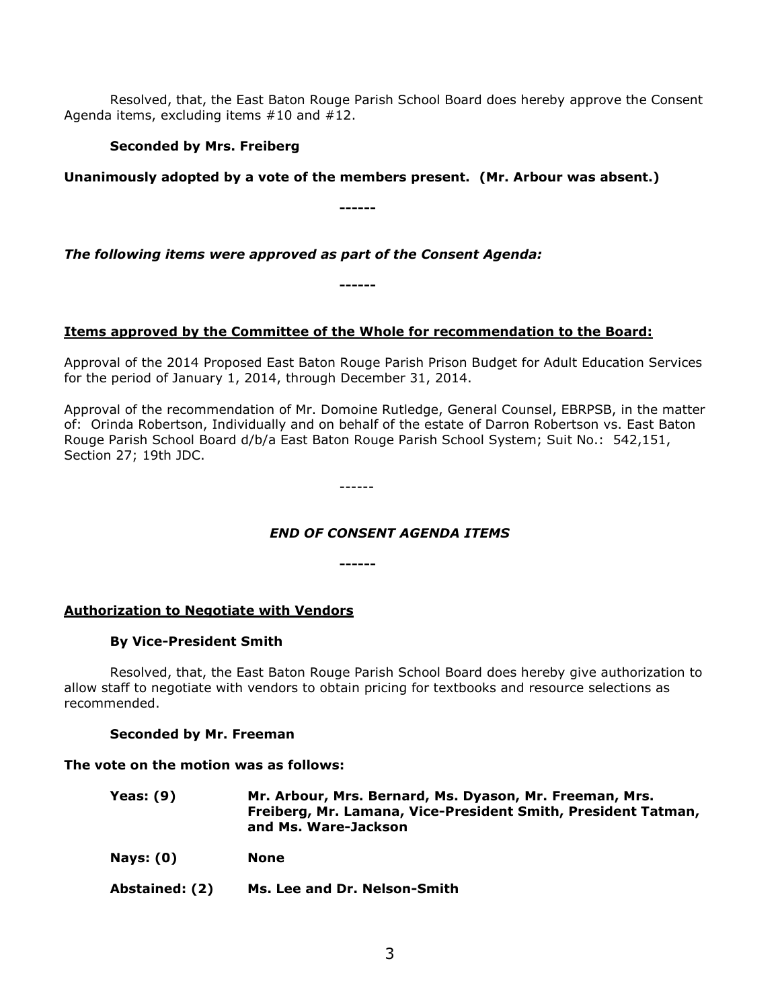Resolved, that, the East Baton Rouge Parish School Board does hereby approve the Consent Agenda items, excluding items #10 and #12.

### **Seconded by Mrs. Freiberg**

### **Unanimously adopted by a vote of the members present. (Mr. Arbour was absent.)**

**------**

*The following items were approved as part of the Consent Agenda:*

**------**

## **Items approved by the Committee of the Whole for recommendation to the Board:**

Approval of the 2014 Proposed East Baton Rouge Parish Prison Budget for Adult Education Services for the period of January 1, 2014, through December 31, 2014.

Approval of the recommendation of Mr. Domoine Rutledge, General Counsel, EBRPSB, in the matter of: Orinda Robertson, Individually and on behalf of the estate of Darron Robertson vs. East Baton Rouge Parish School Board d/b/a East Baton Rouge Parish School System; Suit No.: 542,151, Section 27; 19th JDC.

------

## *END OF CONSENT AGENDA ITEMS*

**------**

#### **Authorization to Negotiate with Vendors**

#### **By Vice-President Smith**

Resolved, that, the East Baton Rouge Parish School Board does hereby give authorization to allow staff to negotiate with vendors to obtain pricing for textbooks and resource selections as recommended.

#### **Seconded by Mr. Freeman**

#### **The vote on the motion was as follows:**

| <b>Yeas: (9)</b> | Mr. Arbour, Mrs. Bernard, Ms. Dyason, Mr. Freeman, Mrs.<br>Freiberg, Mr. Lamana, Vice-President Smith, President Tatman,<br>and Ms. Ware-Jackson |
|------------------|--------------------------------------------------------------------------------------------------------------------------------------------------|
| <b>Nays: (0)</b> | None                                                                                                                                             |
| Abstained: (2)   | Ms. Lee and Dr. Nelson-Smith                                                                                                                     |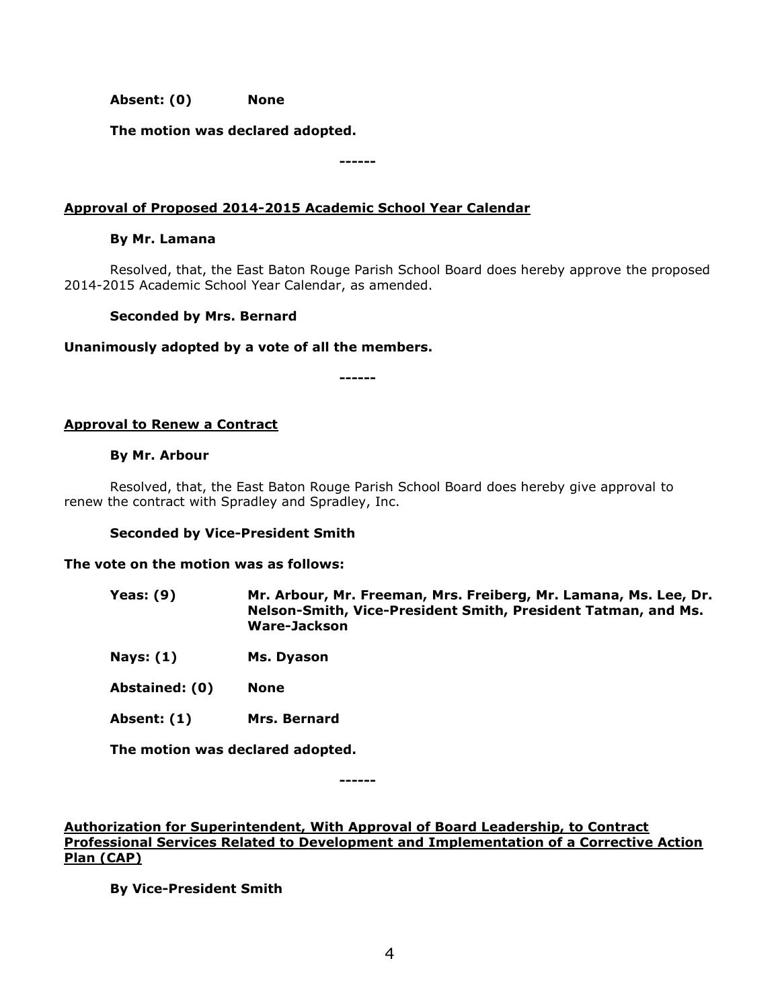**Absent: (0) None**

**The motion was declared adopted.**

**------**

### **Approval of Proposed 2014-2015 Academic School Year Calendar**

#### **By Mr. Lamana**

Resolved, that, the East Baton Rouge Parish School Board does hereby approve the proposed 2014-2015 Academic School Year Calendar, as amended.

#### **Seconded by Mrs. Bernard**

#### **Unanimously adopted by a vote of all the members.**

**------**

### **Approval to Renew a Contract**

#### **By Mr. Arbour**

Resolved, that, the East Baton Rouge Parish School Board does hereby give approval to renew the contract with Spradley and Spradley, Inc.

#### **Seconded by Vice-President Smith**

#### **The vote on the motion was as follows:**

- **Yeas: (9) Mr. Arbour, Mr. Freeman, Mrs. Freiberg, Mr. Lamana, Ms. Lee, Dr. Nelson-Smith, Vice-President Smith, President Tatman, and Ms. Ware-Jackson**
- **Nays: (1) Ms. Dyason**
- **Abstained: (0) None**
- **Absent: (1) Mrs. Bernard**

**The motion was declared adopted.**

**------**

### **Authorization for Superintendent, With Approval of Board Leadership, to Contract Professional Services Related to Development and Implementation of a Corrective Action Plan (CAP)**

**By Vice-President Smith**